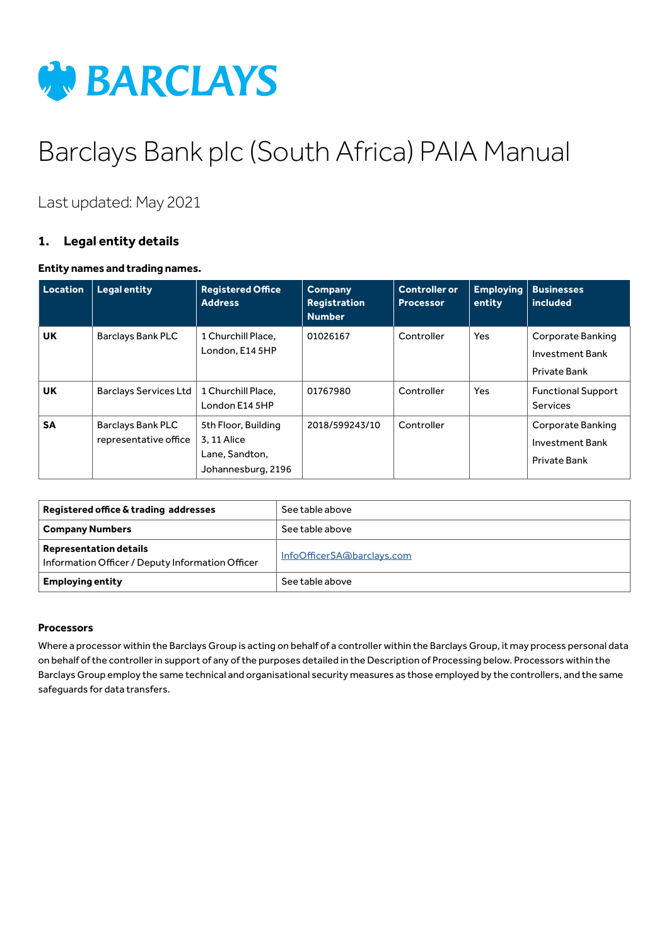

# Barclays Bank plc (South Africa) PAIA Manual

Last updated: May 2021

# **1. Legal entity details**

## **Entity names and trading names.**

| Location  | <b>Legal entity</b>                        | <b>Registered Office</b><br><b>Address</b>                                | <b>Company</b><br>Registration<br><b>Number</b> | <b>Controller or</b><br><b>Processor</b> | <b>Employing</b><br>entity | <b>Businesses</b><br>included                        |
|-----------|--------------------------------------------|---------------------------------------------------------------------------|-------------------------------------------------|------------------------------------------|----------------------------|------------------------------------------------------|
| <b>UK</b> | <b>Barclays Bank PLC</b>                   | 1 Churchill Place.<br>London, E14 5HP                                     | 01026167                                        | Controller                               | Yes                        | Corporate Banking<br>Investment Bank<br>Private Bank |
| UK        | <b>Barclays Services Ltd</b>               | 1 Churchill Place.<br>London E14 5HP                                      | 01767980                                        | Controller                               | <b>Yes</b>                 | <b>Functional Support</b><br>Services                |
| <b>SA</b> | Barclays Bank PLC<br>representative office | 5th Floor, Building<br>3.11 Alice<br>Lane, Sandton,<br>Johannesburg, 2196 | 2018/599243/10                                  | Controller                               |                            | Corporate Banking<br>Investment Bank<br>Private Bank |

| Registered office & trading addresses                                             | See table above            |
|-----------------------------------------------------------------------------------|----------------------------|
| <b>Company Numbers</b>                                                            | See table above            |
| <b>Representation details</b><br>Information Officer / Deputy Information Officer | InfoOfficerSA@barclays.com |
| <b>Employing entity</b>                                                           | See table above            |

#### **Processors**

Where a processor within the Barclays Group is acting on behalf of a controller within the Barclays Group, it may process personal data on behalf of the controller in support of any of the purposes detailed in the Description of Processing below. Processors within the Barclays Group employ the same technical and organisational security measures as those employed by the controllers, and the same safeguards for data transfers.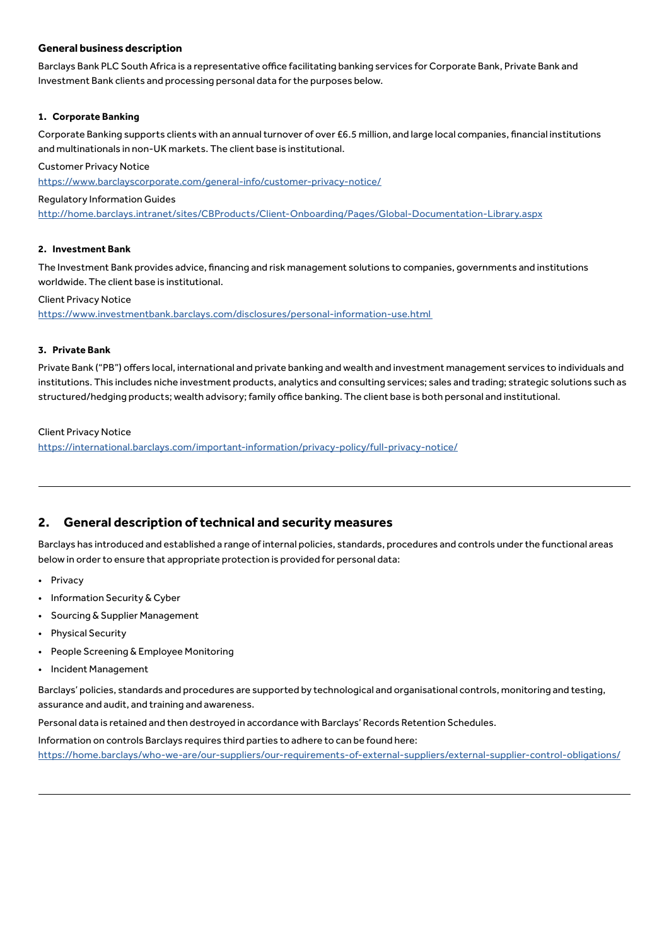#### **General business description**

Barclays Bank PLC South Africa is a representative office facilitating banking services for Corporate Bank, Private Bank and Investment Bank clients and processing personal data for the purposes below.

#### **1. Corporate Banking**

Corporate Banking supports clients with an annual turnover of over £6.5 million, and large local companies, financial institutions and multinationals in non-UK markets. The client base is institutional.

#### Customer Privacy Notice

<https://www.barclayscorporate.com/general-info/customer-privacy-notice/>

#### Regulatory Information Guides

[http://home.barclays.intranet/sites/CBProducts/Client-Onboarding/Pages/Global-Documentation-Library.aspx](http://home.barclays.intranet/sites/CBProducts/Client-Onboarding/Pages/Global-Documentation-Library.)

#### **2. Investment Bank**

The Investment Bank provides advice, financing and risk management solutions to companies, governments and institutions worldwide. The client base is institutional.

#### Client Privacy Notice

[https://www.investmentbank.barclays.com/disclosures/personal-information-use.html](https://www.investmentbank.barclays.com/disclosures/personal-information-use.html ) 

#### **3. Private Bank**

Private Bank ("PB") offers local, international and private banking and wealth and investment management services to individuals and institutions. This includes niche investment products, analytics and consulting services; sales and trading; strategic solutions such as structured/hedging products; wealth advisory; family office banking. The client base is both personal and institutional.

#### Client Privacy Notice

<https://international.barclays.com/important-information/privacy-policy/full-privacy-notice/>

## **2. General description of technical and security measures**

Barclays has introduced and established a range of internal policies, standards, procedures and controls under the functional areas below in order to ensure that appropriate protection is provided for personal data:

- Privacy
- Information Security & Cyber
- Sourcing & Supplier Management
- Physical Security
- People Screening & Employee Monitoring
- Incident Management

Barclays' policies, standards and procedures are supported by technological and organisational controls, monitoring and testing, assurance and audit, and training and awareness.

Personal data is retained and then destroyed in accordance with Barclays' Records Retention Schedules.

Information on controls Barclays requires third parties to adhere to can be found here:

[https://home.barclays/who-we-are/our-suppliers/our-requirements-of-external-suppliers/external-supplier-control-obligations/](https://home.barclays/who-we-are/our-suppliers/our-requirements-of-external-suppliers/external-suppl)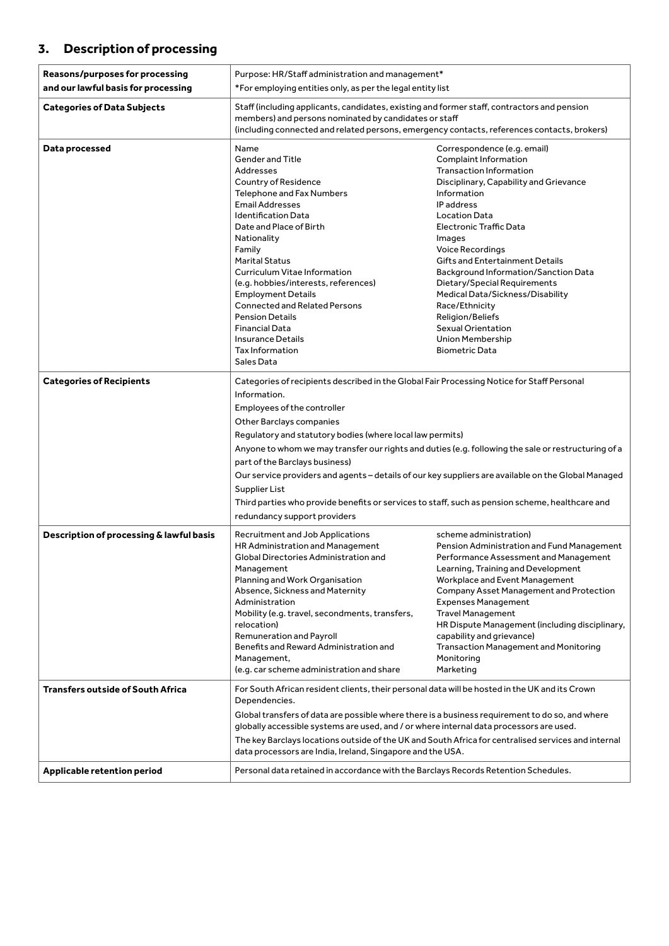# **3. Description of processing**

| and our lawful basis for processing<br>*For employing entities only, as per the legal entity list<br><b>Categories of Data Subjects</b><br>Staff (including applicants, candidates, existing and former staff, contractors and pension<br>members) and persons nominated by candidates or staff<br>(including connected and related persons, emergency contacts, references contacts, brokers)<br>Correspondence (e.g. email)<br>Data processed<br>Name                                                                                                                                                                                                                                                                                                                                                                                                                                                                                                                                     |                                                                                                                                                                                                            |  |
|---------------------------------------------------------------------------------------------------------------------------------------------------------------------------------------------------------------------------------------------------------------------------------------------------------------------------------------------------------------------------------------------------------------------------------------------------------------------------------------------------------------------------------------------------------------------------------------------------------------------------------------------------------------------------------------------------------------------------------------------------------------------------------------------------------------------------------------------------------------------------------------------------------------------------------------------------------------------------------------------|------------------------------------------------------------------------------------------------------------------------------------------------------------------------------------------------------------|--|
|                                                                                                                                                                                                                                                                                                                                                                                                                                                                                                                                                                                                                                                                                                                                                                                                                                                                                                                                                                                             |                                                                                                                                                                                                            |  |
|                                                                                                                                                                                                                                                                                                                                                                                                                                                                                                                                                                                                                                                                                                                                                                                                                                                                                                                                                                                             |                                                                                                                                                                                                            |  |
| <b>Gender and Title</b><br>Complaint Information<br><b>Transaction Information</b><br>Addresses<br>Country of Residence<br>Disciplinary, Capability and Grievance<br><b>Telephone and Fax Numbers</b><br>Information<br><b>Email Addresses</b><br>IP address<br><b>Identification Data</b><br><b>Location Data</b><br>Date and Place of Birth<br><b>Electronic Traffic Data</b><br>Nationality<br>Images<br>Voice Recordings<br>Family<br><b>Marital Status</b><br>Gifts and Entertainment Details<br>Curriculum Vitae Information<br>Background Information/Sanction Data<br>(e.g. hobbies/interests, references)<br>Dietary/Special Requirements<br>Medical Data/Sickness/Disability<br><b>Employment Details</b><br><b>Connected and Related Persons</b><br>Race/Ethnicity<br><b>Pension Details</b><br>Religion/Beliefs<br>Sexual Orientation<br><b>Financial Data</b><br><b>Insurance Details</b><br>Union Membership<br><b>Tax Information</b><br><b>Biometric Data</b><br>Sales Data |                                                                                                                                                                                                            |  |
| <b>Categories of Recipients</b><br>Categories of recipients described in the Global Fair Processing Notice for Staff Personal<br>Information.<br>Employees of the controller<br>Other Barclays companies<br>Regulatory and statutory bodies (where local law permits)<br>part of the Barclays business)<br>Supplier List<br>Third parties who provide benefits or services to staff, such as pension scheme, healthcare and<br>redundancy support providers                                                                                                                                                                                                                                                                                                                                                                                                                                                                                                                                 | Anyone to whom we may transfer our rights and duties (e.g. following the sale or restructuring of a<br>Our service providers and agents - details of our key suppliers are available on the Global Managed |  |
| Description of processing & lawful basis<br>Recruitment and Job Applications<br>scheme administration)<br>HR Administration and Management<br>Pension Administration and Fund Management<br>Global Directories Administration and<br>Performance Assessment and Management<br>Learning, Training and Development<br>Management<br>Planning and Work Organisation<br>Workplace and Event Management<br>Absence, Sickness and Maternity<br>Company Asset Management and Protection<br>Administration<br><b>Expenses Management</b><br><b>Travel Management</b><br>Mobility (e.g. travel, secondments, transfers,<br>HR Dispute Management (including disciplinary,<br>relocation)<br>Remuneration and Payroll<br>capability and grievance)<br>Benefits and Reward Administration and<br><b>Transaction Management and Monitoring</b><br>Management,<br>Monitoring<br>(e.g. car scheme administration and share<br>Marketing                                                                   |                                                                                                                                                                                                            |  |
| <b>Transfers outside of South Africa</b><br>For South African resident clients, their personal data will be hosted in the UK and its Crown<br>Dependencies.<br>Global transfers of data are possible where there is a business requirement to do so, and where<br>globally accessible systems are used, and / or where internal data processors are used.                                                                                                                                                                                                                                                                                                                                                                                                                                                                                                                                                                                                                                   | The key Barclays locations outside of the UK and South Africa for centralised services and internal                                                                                                        |  |
| Applicable retention period<br>Personal data retained in accordance with the Barclays Records Retention Schedules.                                                                                                                                                                                                                                                                                                                                                                                                                                                                                                                                                                                                                                                                                                                                                                                                                                                                          | data processors are India, Ireland, Singapore and the USA.                                                                                                                                                 |  |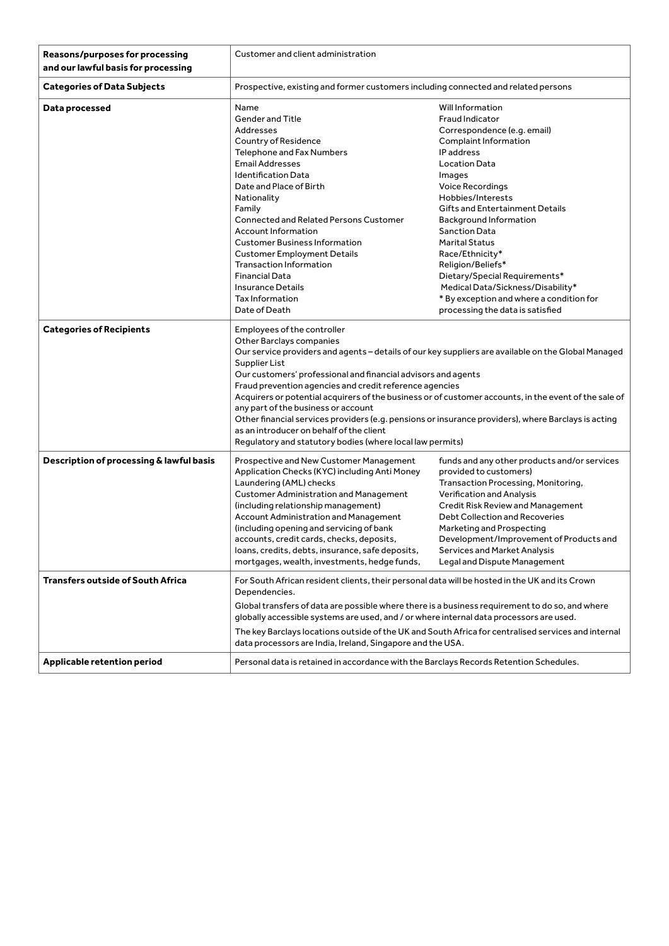| Reasons/purposes for processing<br>and our lawful basis for processing | Customer and client administration                                                                                                                                                                                                                                                                                                                                                                                                                                                                                                                                                                                                                                          |                                                                                                                                                                                                                                                                                                                                                                                                                                                                                           |
|------------------------------------------------------------------------|-----------------------------------------------------------------------------------------------------------------------------------------------------------------------------------------------------------------------------------------------------------------------------------------------------------------------------------------------------------------------------------------------------------------------------------------------------------------------------------------------------------------------------------------------------------------------------------------------------------------------------------------------------------------------------|-------------------------------------------------------------------------------------------------------------------------------------------------------------------------------------------------------------------------------------------------------------------------------------------------------------------------------------------------------------------------------------------------------------------------------------------------------------------------------------------|
| <b>Categories of Data Subjects</b>                                     | Prospective, existing and former customers including connected and related persons                                                                                                                                                                                                                                                                                                                                                                                                                                                                                                                                                                                          |                                                                                                                                                                                                                                                                                                                                                                                                                                                                                           |
| Data processed                                                         | Name<br><b>Gender and Title</b><br>Addresses<br>Country of Residence<br>Telephone and Fax Numbers<br><b>Email Addresses</b><br><b>Identification Data</b><br>Date and Place of Birth<br>Nationality<br>Family<br>Connected and Related Persons Customer<br><b>Account Information</b><br><b>Customer Business Information</b><br><b>Customer Employment Details</b><br><b>Transaction Information</b><br><b>Financial Data</b><br><b>Insurance Details</b><br><b>Tax Information</b><br>Date of Death                                                                                                                                                                       | Will Information<br>Fraud Indicator<br>Correspondence (e.g. email)<br>Complaint Information<br>IP address<br>Location Data<br>Images<br>Voice Recordings<br>Hobbies/Interests<br>Gifts and Entertainment Details<br>Background Information<br><b>Sanction Data</b><br><b>Marital Status</b><br>Race/Ethnicity*<br>Religion/Beliefs*<br>Dietary/Special Requirements*<br>Medical Data/Sickness/Disability*<br>* By exception and where a condition for<br>processing the data is satisfied |
| <b>Categories of Recipients</b>                                        | Employees of the controller<br>Other Barclays companies<br>Our service providers and agents - details of our key suppliers are available on the Global Managed<br>Supplier List<br>Our customers' professional and financial advisors and agents<br>Fraud prevention agencies and credit reference agencies<br>Acquirers or potential acquirers of the business or of customer accounts, in the event of the sale of<br>any part of the business or account<br>Other financial services providers (e.g. pensions or insurance providers), where Barclays is acting<br>as an introducer on behalf of the client<br>Regulatory and statutory bodies (where local law permits) |                                                                                                                                                                                                                                                                                                                                                                                                                                                                                           |
| Description of processing & lawful basis                               | Prospective and New Customer Management<br>Application Checks (KYC) including Anti Money<br>Laundering (AML) checks<br><b>Customer Administration and Management</b><br>(including relationship management)<br>Account Administration and Management<br>(including opening and servicing of bank<br>accounts, credit cards, checks, deposits,<br>loans, credits, debts, insurance, safe deposits,<br>mortgages, wealth, investments, hedge funds,                                                                                                                                                                                                                           | funds and any other products and/or services<br>provided to customers)<br>Transaction Processing, Monitoring,<br><b>Verification and Analysis</b><br>Credit Risk Review and Management<br>Debt Collection and Recoveries<br>Marketing and Prospecting<br>Development/Improvement of Products and<br>Services and Market Analysis<br>Legal and Dispute Management                                                                                                                          |
| <b>Transfers outside of South Africa</b>                               | For South African resident clients, their personal data will be hosted in the UK and its Crown<br>Dependencies.<br>Global transfers of data are possible where there is a business requirement to do so, and where<br>globally accessible systems are used, and / or where internal data processors are used.<br>The key Barclays locations outside of the UK and South Africa for centralised services and internal<br>data processors are India, Ireland, Singapore and the USA.                                                                                                                                                                                          |                                                                                                                                                                                                                                                                                                                                                                                                                                                                                           |
| Applicable retention period                                            | Personal data is retained in accordance with the Barclays Records Retention Schedules.                                                                                                                                                                                                                                                                                                                                                                                                                                                                                                                                                                                      |                                                                                                                                                                                                                                                                                                                                                                                                                                                                                           |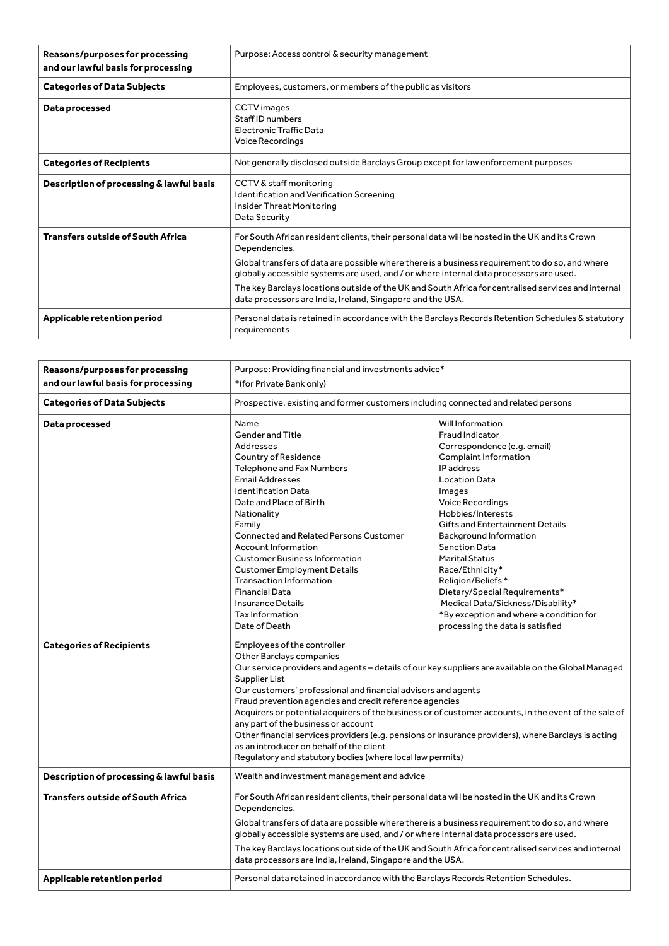| Reasons/purposes for processing<br>and our lawful basis for processing | Purpose: Access control & security management                                                                                                                                                                                                                                                                                                                                                                        |
|------------------------------------------------------------------------|----------------------------------------------------------------------------------------------------------------------------------------------------------------------------------------------------------------------------------------------------------------------------------------------------------------------------------------------------------------------------------------------------------------------|
| <b>Categories of Data Subjects</b>                                     | Employees, customers, or members of the public as visitors                                                                                                                                                                                                                                                                                                                                                           |
| Data processed                                                         | CCTV images<br>Staff ID numbers<br>Electronic Traffic Data<br>Voice Recordings                                                                                                                                                                                                                                                                                                                                       |
| <b>Categories of Recipients</b>                                        | Not generally disclosed outside Barclays Group except for law enforcement purposes                                                                                                                                                                                                                                                                                                                                   |
| Description of processing & lawful basis                               | CCTV & staff monitoring<br>Identification and Verification Screening<br>Insider Threat Monitoring<br>Data Security                                                                                                                                                                                                                                                                                                   |
| <b>Transfers outside of South Africa</b>                               | For South African resident clients, their personal data will be hosted in the UK and its Crown<br>Dependencies.<br>Global transfers of data are possible where there is a business requirement to do so, and where<br>globally accessible systems are used, and / or where internal data processors are used.<br>The key Barclays locations outside of the UK and South Africa for centralised services and internal |
|                                                                        | data processors are India, Ireland, Singapore and the USA.                                                                                                                                                                                                                                                                                                                                                           |
| Applicable retention period                                            | Personal data is retained in accordance with the Barclays Records Retention Schedules & statutory<br>requirements                                                                                                                                                                                                                                                                                                    |

| <b>Reasons/purposes for processing</b>   | Purpose: Providing financial and investments advice*                                                                                                                                                                                                                                                                                                                                                                                                                                                                                                                                                                                                                        |                                                                                                                                                                                                                                                                                                       |
|------------------------------------------|-----------------------------------------------------------------------------------------------------------------------------------------------------------------------------------------------------------------------------------------------------------------------------------------------------------------------------------------------------------------------------------------------------------------------------------------------------------------------------------------------------------------------------------------------------------------------------------------------------------------------------------------------------------------------------|-------------------------------------------------------------------------------------------------------------------------------------------------------------------------------------------------------------------------------------------------------------------------------------------------------|
| and our lawful basis for processing      | *(for Private Bank only)                                                                                                                                                                                                                                                                                                                                                                                                                                                                                                                                                                                                                                                    |                                                                                                                                                                                                                                                                                                       |
| <b>Categories of Data Subjects</b>       | Prospective, existing and former customers including connected and related persons                                                                                                                                                                                                                                                                                                                                                                                                                                                                                                                                                                                          |                                                                                                                                                                                                                                                                                                       |
| Data processed                           | Name<br><b>Gender and Title</b><br>Addresses                                                                                                                                                                                                                                                                                                                                                                                                                                                                                                                                                                                                                                | Will Information<br>Fraud Indicator<br>Correspondence (e.g. email)                                                                                                                                                                                                                                    |
|                                          | Country of Residence<br><b>Telephone and Fax Numbers</b><br><b>Email Addresses</b><br><b>Identification Data</b><br>Date and Place of Birth<br>Nationality<br>Family<br>Connected and Related Persons Customer<br><b>Account Information</b><br><b>Customer Business Information</b><br><b>Customer Employment Details</b><br><b>Transaction Information</b><br><b>Financial Data</b>                                                                                                                                                                                                                                                                                       | Complaint Information<br>IP address<br><b>Location Data</b><br>Images<br>Voice Recordings<br>Hobbies/Interests<br>Gifts and Entertainment Details<br>Background Information<br><b>Sanction Data</b><br><b>Marital Status</b><br>Race/Ethnicity*<br>Religion/Beliefs*<br>Dietary/Special Requirements* |
|                                          | <b>Insurance Details</b><br>Tax Information<br>Date of Death                                                                                                                                                                                                                                                                                                                                                                                                                                                                                                                                                                                                                | Medical Data/Sickness/Disability*<br>*By exception and where a condition for<br>processing the data is satisfied                                                                                                                                                                                      |
| <b>Categories of Recipients</b>          | Employees of the controller<br>Other Barclays companies<br>Our service providers and agents - details of our key suppliers are available on the Global Managed<br>Supplier List<br>Our customers' professional and financial advisors and agents<br>Fraud prevention agencies and credit reference agencies<br>Acquirers or potential acquirers of the business or of customer accounts, in the event of the sale of<br>any part of the business or account<br>Other financial services providers (e.g. pensions or insurance providers), where Barclays is acting<br>as an introducer on behalf of the client<br>Regulatory and statutory bodies (where local law permits) |                                                                                                                                                                                                                                                                                                       |
| Description of processing & lawful basis | Wealth and investment management and advice                                                                                                                                                                                                                                                                                                                                                                                                                                                                                                                                                                                                                                 |                                                                                                                                                                                                                                                                                                       |
| <b>Transfers outside of South Africa</b> | For South African resident clients, their personal data will be hosted in the UK and its Crown<br>Dependencies.<br>Global transfers of data are possible where there is a business requirement to do so, and where<br>globally accessible systems are used, and / or where internal data processors are used.<br>The key Barclays locations outside of the UK and South Africa for centralised services and internal<br>data processors are India, Ireland, Singapore and the USA.                                                                                                                                                                                          |                                                                                                                                                                                                                                                                                                       |
| Applicable retention period              | Personal data retained in accordance with the Barclays Records Retention Schedules.                                                                                                                                                                                                                                                                                                                                                                                                                                                                                                                                                                                         |                                                                                                                                                                                                                                                                                                       |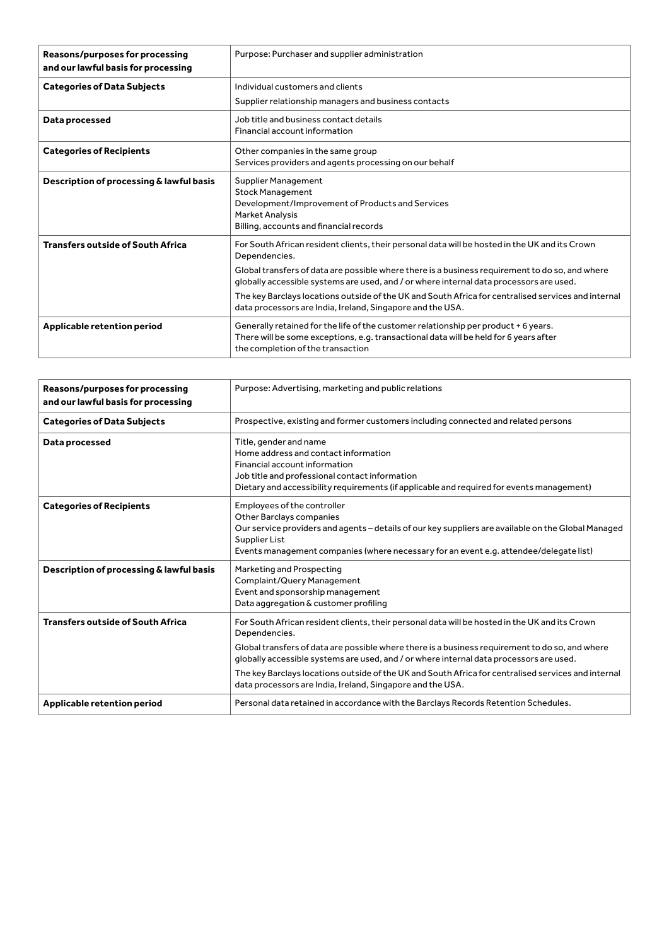| Reasons/purposes for processing<br>and our lawful basis for processing | Purpose: Purchaser and supplier administration                                                                                                                                                                     |
|------------------------------------------------------------------------|--------------------------------------------------------------------------------------------------------------------------------------------------------------------------------------------------------------------|
| <b>Categories of Data Subjects</b>                                     | Individual customers and clients                                                                                                                                                                                   |
|                                                                        | Supplier relationship managers and business contacts                                                                                                                                                               |
| Data processed                                                         | Job title and business contact details<br>Financial account information                                                                                                                                            |
| <b>Categories of Recipients</b>                                        | Other companies in the same group<br>Services providers and agents processing on our behalf                                                                                                                        |
| Description of processing & lawful basis                               | Supplier Management<br><b>Stock Management</b><br>Development/Improvement of Products and Services<br><b>Market Analysis</b><br>Billing, accounts and financial records                                            |
| <b>Transfers outside of South Africa</b>                               | For South African resident clients, their personal data will be hosted in the UK and its Crown<br>Dependencies.<br>Global transfers of data are possible where there is a business requirement to do so, and where |
|                                                                        | globally accessible systems are used, and / or where internal data processors are used.                                                                                                                            |
|                                                                        | The key Barclays locations outside of the UK and South Africa for centralised services and internal<br>data processors are India, Ireland, Singapore and the USA.                                                  |
| Applicable retention period                                            | Generally retained for the life of the customer relationship per product + 6 years.<br>There will be some exceptions, e.g. transactional data will be held for 6 years after<br>the completion of the transaction  |

| Reasons/purposes for processing<br>and our lawful basis for processing | Purpose: Advertising, marketing and public relations                                                                                                                                                                                                                                                                                                                                                                                                                               |
|------------------------------------------------------------------------|------------------------------------------------------------------------------------------------------------------------------------------------------------------------------------------------------------------------------------------------------------------------------------------------------------------------------------------------------------------------------------------------------------------------------------------------------------------------------------|
| <b>Categories of Data Subjects</b>                                     | Prospective, existing and former customers including connected and related persons                                                                                                                                                                                                                                                                                                                                                                                                 |
| Data processed                                                         | Title, gender and name<br>Home address and contact information<br>Financial account information<br>Job title and professional contact information<br>Dietary and accessibility requirements (if applicable and required for events management)                                                                                                                                                                                                                                     |
| <b>Categories of Recipients</b>                                        | Employees of the controller<br>Other Barclays companies<br>Our service providers and agents - details of our key suppliers are available on the Global Managed<br>Supplier List<br>Events management companies (where necessary for an event e.g. attendee/delegate list)                                                                                                                                                                                                          |
| Description of processing & lawful basis                               | Marketing and Prospecting<br>Complaint/Query Management<br>Event and sponsorship management<br>Data aggregation & customer profiling                                                                                                                                                                                                                                                                                                                                               |
| <b>Transfers outside of South Africa</b>                               | For South African resident clients, their personal data will be hosted in the UK and its Crown<br>Dependencies.<br>Global transfers of data are possible where there is a business requirement to do so, and where<br>globally accessible systems are used, and / or where internal data processors are used.<br>The key Barclays locations outside of the UK and South Africa for centralised services and internal<br>data processors are India, Ireland, Singapore and the USA. |
| Applicable retention period                                            | Personal data retained in accordance with the Barclays Records Retention Schedules.                                                                                                                                                                                                                                                                                                                                                                                                |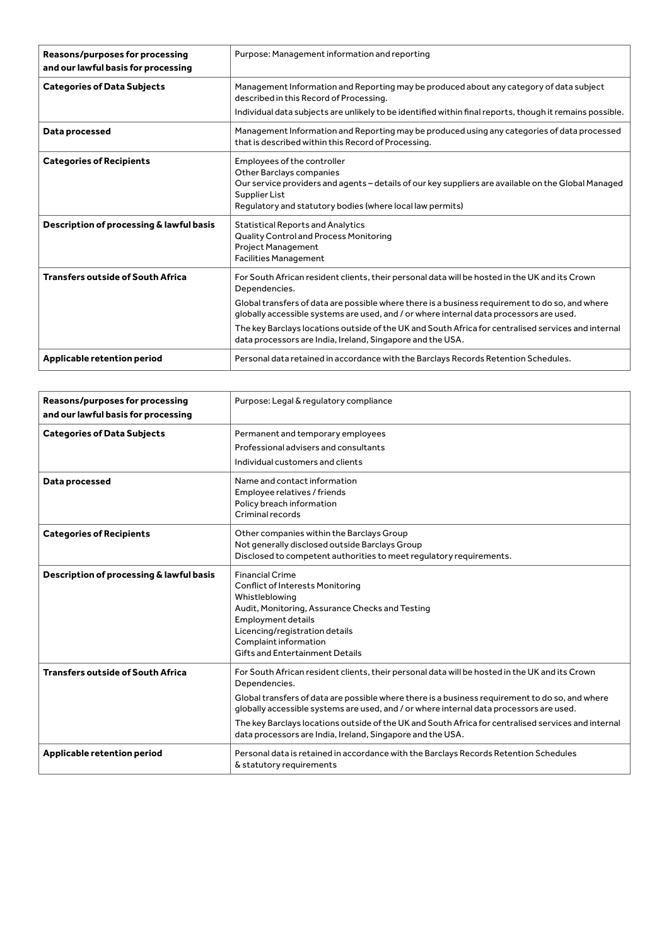| Reasons/purposes for processing<br>and our lawful basis for processing | Purpose: Management information and reporting                                                                                                                                                                                                                |
|------------------------------------------------------------------------|--------------------------------------------------------------------------------------------------------------------------------------------------------------------------------------------------------------------------------------------------------------|
| <b>Categories of Data Subjects</b>                                     | Management Information and Reporting may be produced about any category of data subject<br>described in this Record of Processing.<br>Individual data subjects are unlikely to be identified within final reports, though it remains possible.               |
| Data processed                                                         | Management Information and Reporting may be produced using any categories of data processed<br>that is described within this Record of Processing.                                                                                                           |
| <b>Categories of Recipients</b>                                        | Employees of the controller<br>Other Barclays companies<br>Our service providers and agents - details of our key suppliers are available on the Global Managed<br>Supplier List<br>Regulatory and statutory bodies (where local law permits)                 |
| Description of processing & lawful basis                               | <b>Statistical Reports and Analytics</b><br>Quality Control and Process Monitoring<br>Project Management<br><b>Facilities Management</b>                                                                                                                     |
| <b>Transfers outside of South Africa</b>                               | For South African resident clients, their personal data will be hosted in the UK and its Crown<br>Dependencies.<br>Global transfers of data are possible where there is a business requirement to do so, and where                                           |
|                                                                        | globally accessible systems are used, and / or where internal data processors are used.<br>The key Barclays locations outside of the UK and South Africa for centralised services and internal<br>data processors are India, Ireland, Singapore and the USA. |
| Applicable retention period                                            | Personal data retained in accordance with the Barclays Records Retention Schedules.                                                                                                                                                                          |

| <b>Reasons/purposes for processing</b><br>and our lawful basis for processing | Purpose: Legal & regulatory compliance                                                                                                                                                                                                                                                                                                                                                                                                                                             |
|-------------------------------------------------------------------------------|------------------------------------------------------------------------------------------------------------------------------------------------------------------------------------------------------------------------------------------------------------------------------------------------------------------------------------------------------------------------------------------------------------------------------------------------------------------------------------|
| <b>Categories of Data Subjects</b>                                            | Permanent and temporary employees<br>Professional advisers and consultants<br>Individual customers and clients                                                                                                                                                                                                                                                                                                                                                                     |
| Data processed                                                                | Name and contact information<br>Employee relatives / friends<br>Policy breach information<br>Criminal records                                                                                                                                                                                                                                                                                                                                                                      |
| <b>Categories of Recipients</b>                                               | Other companies within the Barclays Group<br>Not generally disclosed outside Barclays Group<br>Disclosed to competent authorities to meet requlatory requirements.                                                                                                                                                                                                                                                                                                                 |
| Description of processing & lawful basis                                      | <b>Financial Crime</b><br>Conflict of Interests Monitoring<br>Whistleblowing<br>Audit, Monitoring, Assurance Checks and Testing<br><b>Employment details</b><br>Licencing/registration details<br>Complaint information<br>Gifts and Entertainment Details                                                                                                                                                                                                                         |
| <b>Transfers outside of South Africa</b>                                      | For South African resident clients, their personal data will be hosted in the UK and its Crown<br>Dependencies.<br>Global transfers of data are possible where there is a business requirement to do so, and where<br>globally accessible systems are used, and / or where internal data processors are used.<br>The key Barclays locations outside of the UK and South Africa for centralised services and internal<br>data processors are India, Ireland, Singapore and the USA. |
| Applicable retention period                                                   | Personal data is retained in accordance with the Barclays Records Retention Schedules<br>& statutory requirements                                                                                                                                                                                                                                                                                                                                                                  |